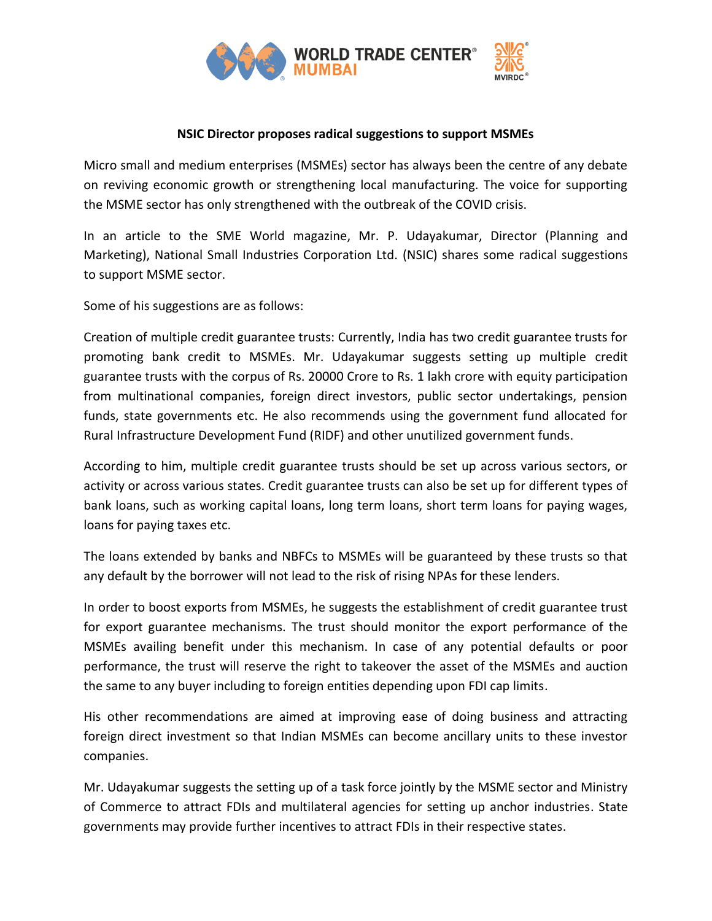

## **NSIC Director proposes radical suggestions to support MSMEs**

Micro small and medium enterprises (MSMEs) sector has always been the centre of any debate on reviving economic growth or strengthening local manufacturing. The voice for supporting the MSME sector has only strengthened with the outbreak of the COVID crisis.

In an article to the SME World magazine, Mr. P. Udayakumar, Director (Planning and Marketing), National Small Industries Corporation Ltd. (NSIC) shares some radical suggestions to support MSME sector.

Some of his suggestions are as follows:

Creation of multiple credit guarantee trusts: Currently, India has two credit guarantee trusts for promoting bank credit to MSMEs. Mr. Udayakumar suggests setting up multiple credit guarantee trusts with the corpus of Rs. 20000 Crore to Rs. 1 lakh crore with equity participation from multinational companies, foreign direct investors, public sector undertakings, pension funds, state governments etc. He also recommends using the government fund allocated for Rural Infrastructure Development Fund (RIDF) and other unutilized government funds.

According to him, multiple credit guarantee trusts should be set up across various sectors, or activity or across various states. Credit guarantee trusts can also be set up for different types of bank loans, such as working capital loans, long term loans, short term loans for paying wages, loans for paying taxes etc.

The loans extended by banks and NBFCs to MSMEs will be guaranteed by these trusts so that any default by the borrower will not lead to the risk of rising NPAs for these lenders.

In order to boost exports from MSMEs, he suggests the establishment of credit guarantee trust for export guarantee mechanisms. The trust should monitor the export performance of the MSMEs availing benefit under this mechanism. In case of any potential defaults or poor performance, the trust will reserve the right to takeover the asset of the MSMEs and auction the same to any buyer including to foreign entities depending upon FDI cap limits.

His other recommendations are aimed at improving ease of doing business and attracting foreign direct investment so that Indian MSMEs can become ancillary units to these investor companies.

Mr. Udayakumar suggests the setting up of a task force jointly by the MSME sector and Ministry of Commerce to attract FDIs and multilateral agencies for setting up anchor industries. State governments may provide further incentives to attract FDIs in their respective states.